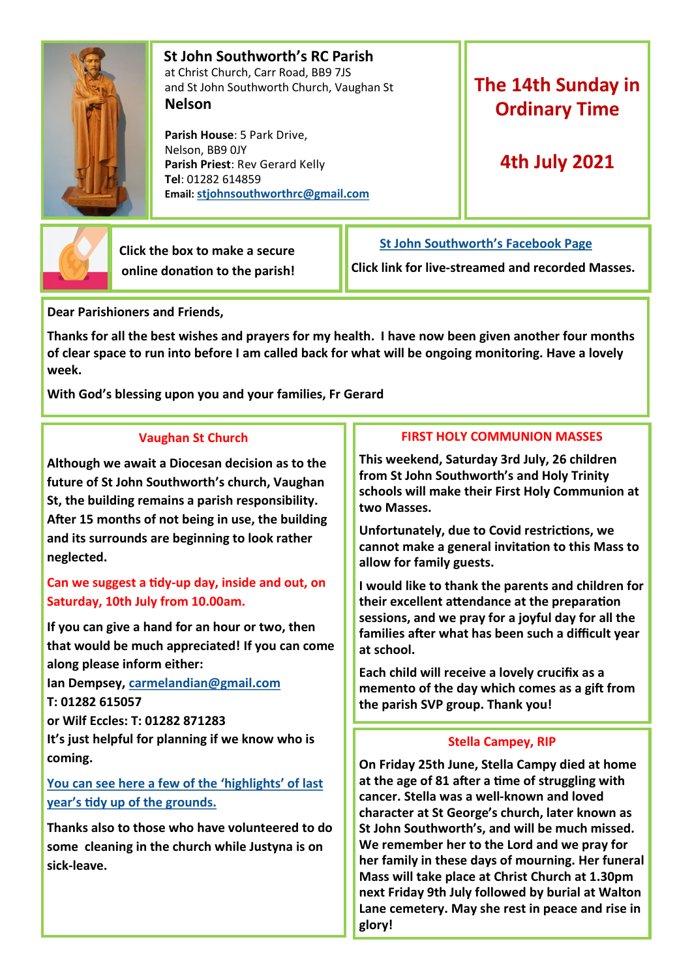

 **St John Southworth's RC Parish** at Christ Church, Carr Road, BB9 7JS and St John Southworth Church, Vaughan St **Nelson**

 **Parish House**: 5 Park Drive, Nelson, BB9 0JY **Parish Priest**: Rev Gerard Kelly **Tel**: 01282 614859 **Email: [stjohnsouthworthrc@gmail.com](mailto:stjohnsouthworth@gmail.com)**

# **The 14th Sunday in Ordinary Time**

# **4th July 2021**



 **Click the box to make a secure online donation to the parish!** **[St John Southworth's Facebook Page](https://www.facebook.com/Parish-of-St-John-Southworth-in-Nelson-105718084323986)**

**Click link for live-streamed and recorded Masses.**

**Dear Parishioners and Friends,**

**Thanks for all the best wishes and prayers for my health. I have now been given another four months of clear space to run into before I am called back for what will be ongoing monitoring. Have a lovely week.** 

**With God's blessing upon you and your families, Fr Gerard**

#### **Vaughan St Church**

**Although we await a Diocesan decision as to the future of St John Southworth's church, Vaughan St, the building remains a parish responsibility. After 15 months of not being in use, the building and its surrounds are beginning to look rather neglected.** 

### **Can we suggest a tidy-up day, inside and out, on Saturday, 10th July from 10.00am.**

**If you can give a hand for an hour or two, then that would be much appreciated! If you can come along please inform either:**

**Ian Dempsey, [carmelandian@gmail.com](mailto:carmelandian@gmail.com) T: 01282 615057**

**or Wilf Eccles: T: 01282 871283**

**It's just helpful for planning if we know who is coming.**

**[You can see here a few of the 'highlights' of last](https://www.facebook.com/105718084323986/videos/883876052107639)  [year's tidy up of the grounds.](https://www.facebook.com/105718084323986/videos/883876052107639)**

**Thanks also to those who have volunteered to do some cleaning in the church while Justyna is on sick-leave.** 

## **FIRST HOLY COMMUNION MASSES**

**This weekend, Saturday 3rd July, 26 children from St John Southworth's and Holy Trinity schools will make their First Holy Communion at two Masses.** 

**Unfortunately, due to Covid restrictions, we cannot make a general invitation to this Mass to allow for family guests.** 

**I would like to thank the parents and children for their excellent attendance at the preparation sessions, and we pray for a joyful day for all the families after what has been such a difficult year at school.**

**Each child will receive a lovely crucifix as a memento of the day which comes as a gift from the parish SVP group. Thank you!**

#### **Stella Campey, RIP**

**On Friday 25th June, Stella Campy died at home at the age of 81 after a time of struggling with cancer. Stella was a well-known and loved character at St George's church, later known as St John Southworth's, and will be much missed. We remember her to the Lord and we pray for her family in these days of mourning. Her funeral Mass will take place at Christ Church at 1.30pm next Friday 9th July followed by burial at Walton Lane cemetery. May she rest in peace and rise in glory!**